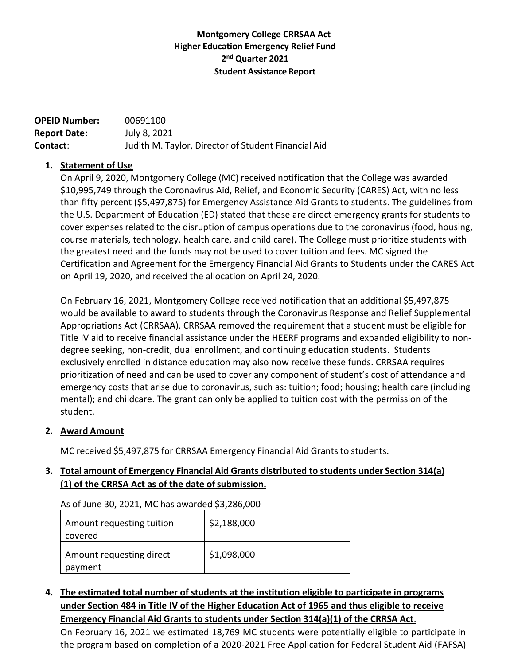# **Montgomery College CRRSAA Act Higher Education Emergency Relief Fund 2 nd Quarter 2021 Student Assistance Report**

**OPEID Number:** 00691100 **Report Date:** July 8, 2021 **Contact**: Judith M. Taylor, Director of Student Financial Aid

## **1. Statement of Use**

On April 9, 2020, Montgomery College (MC) received notification that the College was awarded \$10,995,749 through the Coronavirus Aid, Relief, and Economic Security (CARES) Act, with no less than fifty percent (\$5,497,875) for Emergency Assistance Aid Grants to students. The guidelines from the U.S. Department of Education (ED) stated that these are direct emergency grants for students to cover expenses related to the disruption of campus operations due to the coronavirus (food, housing, course materials, technology, health care, and child care). The College must prioritize students with the greatest need and the funds may not be used to cover tuition and fees. MC signed the Certification and Agreement for the Emergency Financial Aid Grants to Students under the CARES Act on April 19, 2020, and received the allocation on April 24, 2020.

On February 16, 2021, Montgomery College received notification that an additional \$5,497,875 would be available to award to students through the Coronavirus Response and Relief Supplemental Appropriations Act (CRRSAA). CRRSAA removed the requirement that a student must be eligible for Title IV aid to receive financial assistance under the HEERF programs and expanded eligibility to nondegree seeking, non-credit, dual enrollment, and continuing education students. Students exclusively enrolled in distance education may also now receive these funds. CRRSAA requires prioritization of need and can be used to cover any component of student's cost of attendance and emergency costs that arise due to coronavirus, such as: tuition; food; housing; health care (including mental); and childcare. The grant can only be applied to tuition cost with the permission of the student.

## **2. Award Amount**

MC received \$5,497,875 for CRRSAA Emergency Financial Aid Grants to students.

## **3. Total amount of Emergency Financial Aid Grants distributed to students under Section 314(a) (1) of the CRRSA Act as of the date ofsubmission.**

As of June 30, 2021, MC has awarded \$3,286,000

| Amount requesting tuition<br>covered | \$2,188,000 |
|--------------------------------------|-------------|
| Amount requesting direct<br>payment  | \$1,098,000 |

# **4. The estimated total number of students at the institution eligible to participate in programs under Section 484 in Title IV of the Higher Education Act of 1965 and thus eligible to receive Emergency Financial Aid Grants to students under Section 314(a)(1) of the CRRSA Act**.

On February 16, 2021 we estimated 18,769 MC students were potentially eligible to participate in the program based on completion of a 2020-2021 Free Application for Federal Student Aid (FAFSA)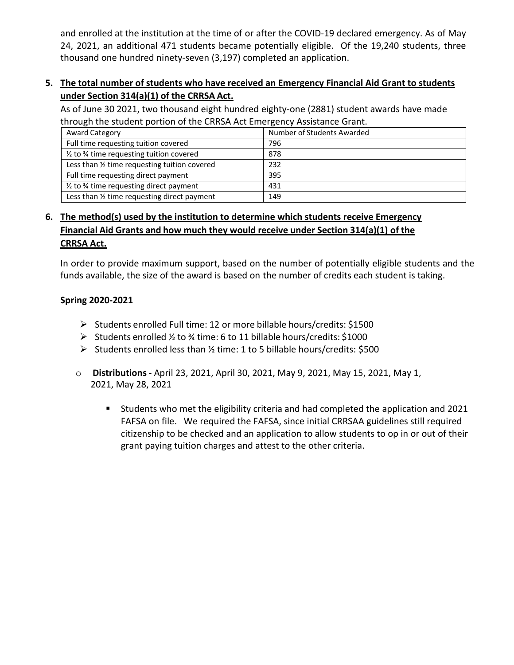and enrolled at the institution at the time of or after the COVID-19 declared emergency. As of May 24, 2021, an additional 471 students became potentially eligible. Of the 19,240 students, three thousand one hundred ninety-seven (3,197) completed an application.

# **5. The total number of students who have received an Emergency Financial Aid Grant to students under Section 314(a)(1) of the CRRSA Act.**

As of June 30 2021, two thousand eight hundred eighty-one (2881) student awards have made through the student portion of the CRRSA Act Emergency Assistance Grant.

| Award Category                                                 | Number of Students Awarded |
|----------------------------------------------------------------|----------------------------|
| Full time requesting tuition covered                           | 796                        |
| $\frac{1}{2}$ to $\frac{3}{4}$ time requesting tuition covered | 878                        |
| Less than 1/2 time requesting tuition covered                  | 232                        |
| Full time requesting direct payment                            | 395                        |
| $\frac{1}{2}$ to $\frac{3}{4}$ time requesting direct payment  | 431                        |
| Less than 1/2 time requesting direct payment                   | 149                        |

# **6. The method(s) used by the institution to determine which students receive Emergency Financial Aid Grants and how much they would receive under Section 314(a)(1) of the CRRSA Act.**

In order to provide maximum support, based on the number of potentially eligible students and the funds available, the size of the award is based on the number of credits each student is taking.

## **Spring 2020-2021**

- ➢ Students enrolled Full time: 12 or more billable hours/credits: \$1500
- ➢ Students enrolled ½ to ¾ time: 6 to 11 billable hours/credits: \$1000
- ➢ Students enrolled less than ½ time: 1 to 5 billable hours/credits: \$500
- o **Distributions** April 23, 2021, April 30, 2021, May 9, 2021, May 15, 2021, May 1, 2021, May 28, 2021
	- Students who met the eligibility criteria and had completed the application and 2021 FAFSA on file. We required the FAFSA, since initial CRRSAA guidelines still required citizenship to be checked and an application to allow students to op in or out of their grant paying tuition charges and attest to the other criteria.